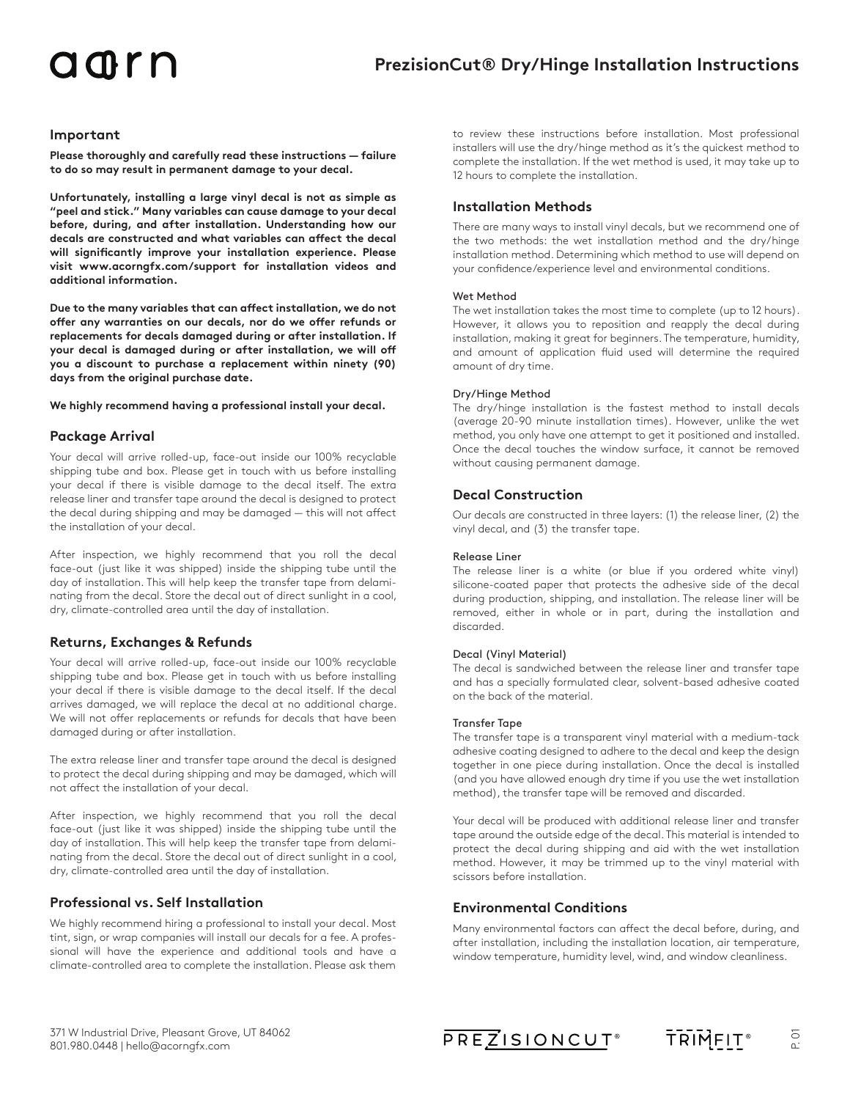## adrn

## **Important**

**Please thoroughly and carefully read these instructions — failure to do so may result in permanent damage to your decal.** 

**Unfortunately, installing a large vinyl decal is not as simple as "peel and stick." Many variables can cause damage to your decal before, during, and after installation. Understanding how our decals are constructed and what variables can affect the decal will significantly improve your installation experience. Please visit www.acorngfx.com/support for installation videos and additional information.** 

**Due to the many variables that can affect installation, we do not offer any warranties on our decals, nor do we offer refunds or replacements for decals damaged during or after installation. If your decal is damaged during or after installation, we will off you a discount to purchase a replacement within ninety (90) days from the original purchase date.** 

#### **We highly recommend having a professional install your decal.**

## **Package Arrival**

Your decal will arrive rolled-up, face-out inside our 100% recyclable shipping tube and box. Please get in touch with us before installing your decal if there is visible damage to the decal itself. The extra release liner and transfer tape around the decal is designed to protect the decal during shipping and may be damaged — this will not affect the installation of your decal.

After inspection, we highly recommend that you roll the decal face-out (just like it was shipped) inside the shipping tube until the day of installation. This will help keep the transfer tape from delaminating from the decal. Store the decal out of direct sunlight in a cool, dry, climate-controlled area until the day of installation.

## **Returns, Exchanges & Refunds**

Your decal will arrive rolled-up, face-out inside our 100% recyclable shipping tube and box. Please get in touch with us before installing your decal if there is visible damage to the decal itself. If the decal arrives damaged, we will replace the decal at no additional charge. We will not offer replacements or refunds for decals that have been damaged during or after installation.

The extra release liner and transfer tape around the decal is designed to protect the decal during shipping and may be damaged, which will not affect the installation of your decal.

After inspection, we highly recommend that you roll the decal face-out (just like it was shipped) inside the shipping tube until the day of installation. This will help keep the transfer tape from delaminating from the decal. Store the decal out of direct sunlight in a cool, dry, climate-controlled area until the day of installation.

## **Professional vs. Self Installation**

We highly recommend hiring a professional to install your decal. Most tint, sign, or wrap companies will install our decals for a fee. A professional will have the experience and additional tools and have a climate-controlled area to complete the installation. Please ask them to review these instructions before installation. Most professional installers will use the dry/hinge method as it's the quickest method to complete the installation. If the wet method is used, it may take up to 12 hours to complete the installation.

## **Installation Methods**

There are many ways to install vinyl decals, but we recommend one of the two methods: the wet installation method and the dry/hinge installation method. Determining which method to use will depend on your confidence/experience level and environmental conditions.

#### Wet Method

The wet installation takes the most time to complete (up to 12 hours). However, it allows you to reposition and reapply the decal during installation, making it great for beginners. The temperature, humidity, and amount of application fluid used will determine the required amount of dry time.

### Dry/Hinge Method

The dry/hinge installation is the fastest method to install decals (average 20-90 minute installation times). However, unlike the wet method, you only have one attempt to get it positioned and installed. Once the decal touches the window surface, it cannot be removed without causing permanent damage.

## **Decal Construction**

Our decals are constructed in three layers: (1) the release liner, (2) the vinyl decal, and (3) the transfer tape.

#### Release Liner

The release liner is a white (or blue if you ordered white vinyl) silicone-coated paper that protects the adhesive side of the decal during production, shipping, and installation. The release liner will be removed, either in whole or in part, during the installation and discarded.

#### Decal (Vinyl Material)

The decal is sandwiched between the release liner and transfer tape and has a specially formulated clear, solvent-based adhesive coated on the back of the material.

#### Transfer Tape

The transfer tape is a transparent vinyl material with a medium-tack adhesive coating designed to adhere to the decal and keep the design together in one piece during installation. Once the decal is installed (and you have allowed enough dry time if you use the wet installation method), the transfer tape will be removed and discarded.

Your decal will be produced with additional release liner and transfer tape around the outside edge of the decal. This material is intended to protect the decal during shipping and aid with the wet installation method. However, it may be trimmed up to the vinyl material with scissors before installation.

## **Environmental Conditions**

Many environmental factors can affect the decal before, during, and after installation, including the installation location, air temperature, window temperature, humidity level, wind, and window cleanliness.

**PREZISIONCUT®** 

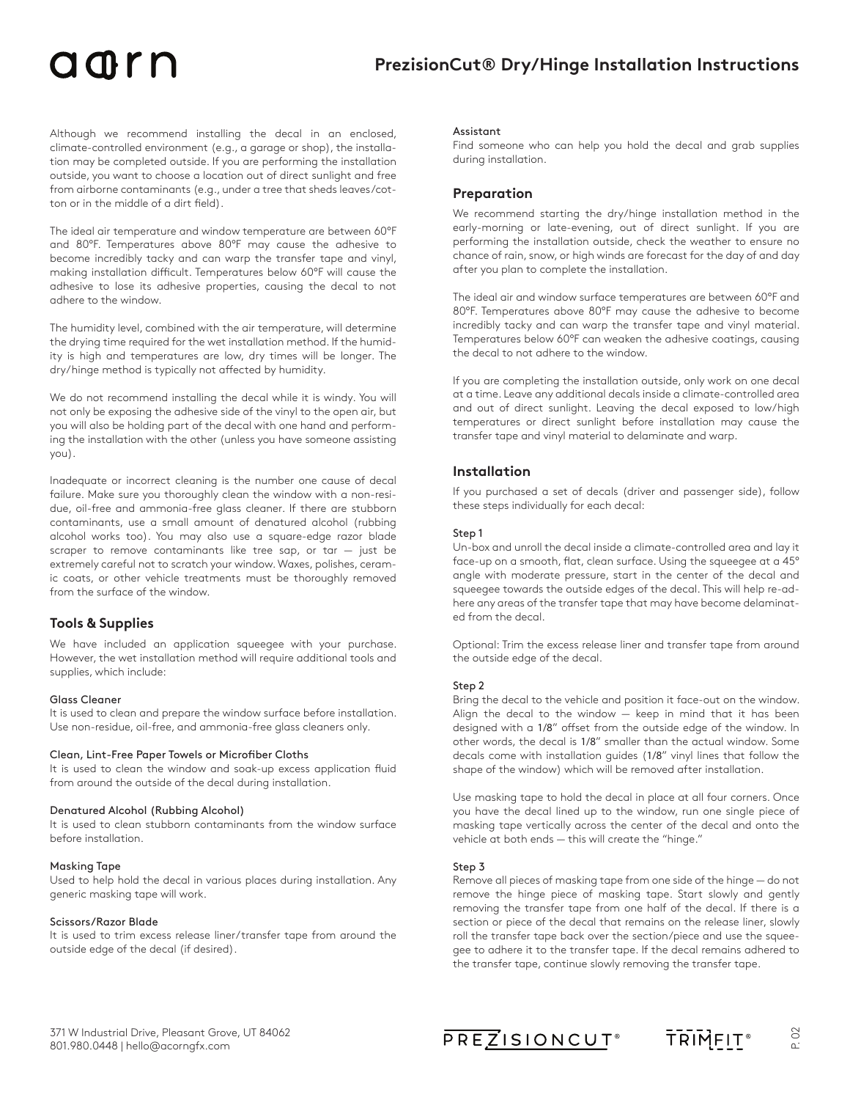## adrn

Although we recommend installing the decal in an enclosed, climate-controlled environment (e.g., a garage or shop), the installation may be completed outside. If you are performing the installation outside, you want to choose a location out of direct sunlight and free from airborne contaminants (e.g., under a tree that sheds leaves/cotton or in the middle of a dirt field).

The ideal air temperature and window temperature are between 60°F and 80°F. Temperatures above 80°F may cause the adhesive to become incredibly tacky and can warp the transfer tape and vinyl, making installation difficult. Temperatures below 60°F will cause the adhesive to lose its adhesive properties, causing the decal to not adhere to the window.

The humidity level, combined with the air temperature, will determine the drying time required for the wet installation method. If the humidity is high and temperatures are low, dry times will be longer. The dry/hinge method is typically not affected by humidity.

We do not recommend installing the decal while it is windy. You will not only be exposing the adhesive side of the vinyl to the open air, but you will also be holding part of the decal with one hand and performing the installation with the other (unless you have someone assisting you).

Inadequate or incorrect cleaning is the number one cause of decal failure. Make sure you thoroughly clean the window with a non-residue, oil-free and ammonia-free glass cleaner. If there are stubborn contaminants, use a small amount of denatured alcohol (rubbing alcohol works too). You may also use a square-edge razor blade scraper to remove contaminants like tree sap, or tar  $-$  just be extremely careful not to scratch your window. Waxes, polishes, ceramic coats, or other vehicle treatments must be thoroughly removed from the surface of the window.

## **Tools & Supplies**

We have included an application squeegee with your purchase. However, the wet installation method will require additional tools and supplies, which include:

#### Glass Cleaner

It is used to clean and prepare the window surface before installation. Use non-residue, oil-free, and ammonia-free glass cleaners only.

#### Clean, Lint-Free Paper Towels or Microfiber Cloths

It is used to clean the window and soak-up excess application fluid from around the outside of the decal during installation.

#### Denatured Alcohol (Rubbing Alcohol)

It is used to clean stubborn contaminants from the window surface before installation.

#### Masking Tape

Used to help hold the decal in various places during installation. Any generic masking tape will work.

#### Scissors/Razor Blade

It is used to trim excess release liner/transfer tape from around the outside edge of the decal (if desired).

#### Assistant

Find someone who can help you hold the decal and grab supplies during installation.

### **Preparation**

We recommend starting the dry/hinge installation method in the early-morning or late-evening, out of direct sunlight. If you are performing the installation outside, check the weather to ensure no chance of rain, snow, or high winds are forecast for the day of and day after you plan to complete the installation.

The ideal air and window surface temperatures are between 60°F and 80°F. Temperatures above 80°F may cause the adhesive to become incredibly tacky and can warp the transfer tape and vinyl material. Temperatures below 60°F can weaken the adhesive coatings, causing the decal to not adhere to the window.

If you are completing the installation outside, only work on one decal at a time. Leave any additional decals inside a climate-controlled area and out of direct sunlight. Leaving the decal exposed to low/high temperatures or direct sunlight before installation may cause the transfer tape and vinyl material to delaminate and warp.

### **Installation**

If you purchased a set of decals (driver and passenger side), follow these steps individually for each decal:

#### Step 1

Un-box and unroll the decal inside a climate-controlled area and lay it face-up on a smooth, flat, clean surface. Using the squeegee at a 45° angle with moderate pressure, start in the center of the decal and squeegee towards the outside edges of the decal. This will help re-adhere any areas of the transfer tape that may have become delaminated from the decal.

Optional: Trim the excess release liner and transfer tape from around the outside edge of the decal.

#### Step 2

Bring the decal to the vehicle and position it face-out on the window. Align the decal to the window — keep in mind that it has been designed with a 1/8" offset from the outside edge of the window. In other words, the decal is 1/8" smaller than the actual window. Some decals come with installation guides (1/8" vinyl lines that follow the shape of the window) which will be removed after installation.

Use masking tape to hold the decal in place at all four corners. Once you have the decal lined up to the window, run one single piece of masking tape vertically across the center of the decal and onto the vehicle at both ends — this will create the "hinge."

#### Step 3

Remove all pieces of masking tape from one side of the hinge — do not remove the hinge piece of masking tape. Start slowly and gently removing the transfer tape from one half of the decal. If there is a section or piece of the decal that remains on the release liner, slowly roll the transfer tape back over the section/piece and use the squeegee to adhere it to the transfer tape. If the decal remains adhered to the transfer tape, continue slowly removing the transfer tape.

**PREZISIONCUT®** 



P. 02